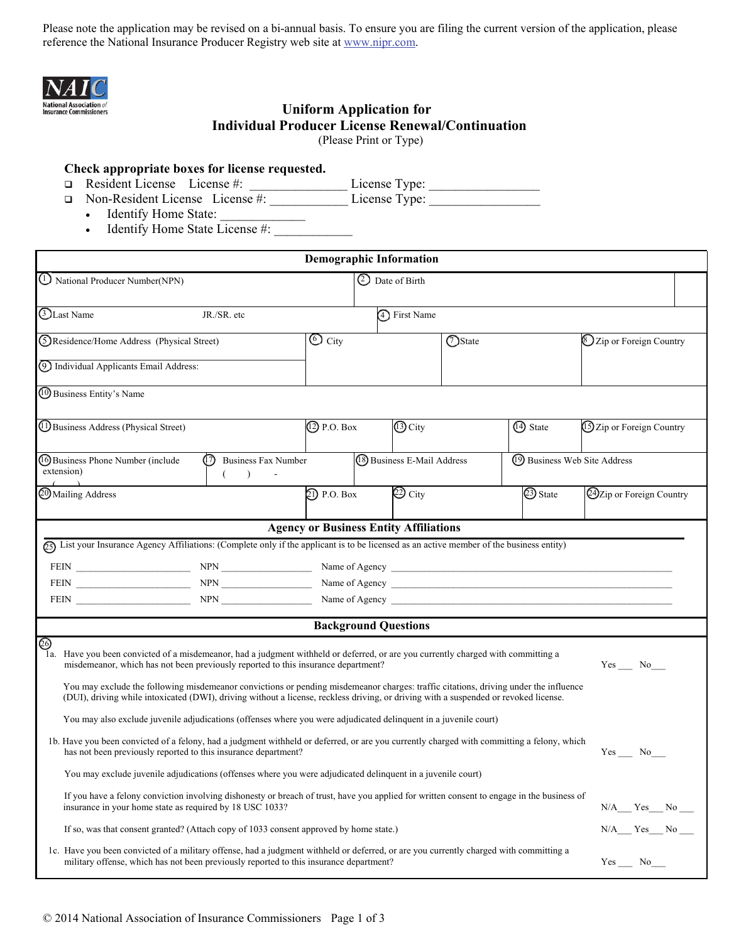Please note the application may be revised on a bi-annual basis. To ensure you are filing the current version of the application, please reference the National Insurance Producer Registry web site at www.nipr.com.



### **Uniform Application for Individual Producer License Renewal/Continuation**  (Please Print or Type)

### **Check appropriate boxes for license requested.**

□ Resident License License #: License Type:

□ Non-Resident License License #: License Type:

- Identify Home State:
- Identify Home State License  $#$ :

| <b>Demographic Information</b>                                                                                                                                                                                                                                                                                                                                                                                                                                                                                           |                                                                         |                   |                                               |                              |            |                           |                            |  |  |
|--------------------------------------------------------------------------------------------------------------------------------------------------------------------------------------------------------------------------------------------------------------------------------------------------------------------------------------------------------------------------------------------------------------------------------------------------------------------------------------------------------------------------|-------------------------------------------------------------------------|-------------------|-----------------------------------------------|------------------------------|------------|---------------------------|----------------------------|--|--|
| 1 National Producer Number(NPN)                                                                                                                                                                                                                                                                                                                                                                                                                                                                                          |                                                                         |                   | 2 Date of Birth                               |                              |            |                           |                            |  |  |
| <b>TLast Name</b>                                                                                                                                                                                                                                                                                                                                                                                                                                                                                                        | JR./SR. etc                                                             |                   | 4 First Name                                  |                              |            |                           |                            |  |  |
| (5) Residence/Home Address (Physical Street)                                                                                                                                                                                                                                                                                                                                                                                                                                                                             |                                                                         | $\odot$ City      |                                               | (7) State                    |            |                           | [8] Zip or Foreign Country |  |  |
| 10 Individual Applicants Email Address:                                                                                                                                                                                                                                                                                                                                                                                                                                                                                  |                                                                         |                   |                                               |                              |            |                           |                            |  |  |
| 10 Business Entity's Name                                                                                                                                                                                                                                                                                                                                                                                                                                                                                                |                                                                         |                   |                                               |                              |            |                           |                            |  |  |
| (1) Business Address (Physical Street)                                                                                                                                                                                                                                                                                                                                                                                                                                                                                   |                                                                         | (2) P.O. Box      | 13 City                                       |                              | (14) State | 15 Zip or Foreign Country |                            |  |  |
| (16) Business Phone Number (include<br>extension)                                                                                                                                                                                                                                                                                                                                                                                                                                                                        | $\textcircled{\small{?}}$<br>Business Fax Number<br>$\rightarrow$<br>€. |                   | <sup>(8</sup> ) Business E-Mail Address       | 19 Business Web Site Address |            |                           |                            |  |  |
| <b>@Mailing Address</b>                                                                                                                                                                                                                                                                                                                                                                                                                                                                                                  |                                                                         | $\Omega$ P.O. Box | $\textcircled{2}$ City                        |                              | 23 State   | 24 Zip or Foreign Country |                            |  |  |
|                                                                                                                                                                                                                                                                                                                                                                                                                                                                                                                          |                                                                         |                   | <b>Agency or Business Entity Affiliations</b> |                              |            |                           |                            |  |  |
| $\widehat{c_5}$ List your Insurance Agency Affiliations: (Complete only if the applicant is to be licensed as an active member of the business entity)                                                                                                                                                                                                                                                                                                                                                                   |                                                                         |                   |                                               |                              |            |                           |                            |  |  |
|                                                                                                                                                                                                                                                                                                                                                                                                                                                                                                                          |                                                                         |                   |                                               |                              |            |                           |                            |  |  |
| FEIN NEWSLETTEN NEWSLET NEWSLET NEWSLET NAME OF Agency Name of Agency NewsLetter NewsLetter NewsLetter NewsLetter NewsLetter NewsLetter NewsLetter NewsLetter NewsLetter NewsLetter NewsLetter NewsLetter NewsLetter NewsLette                                                                                                                                                                                                                                                                                           |                                                                         |                   |                                               |                              |            |                           |                            |  |  |
| FEIN NPN NPN NPN Next Service Service Service Service Service Service Service Service Service Service Service Service Service Service Service Service Service Service Service Service Service Service Service Service Service                                                                                                                                                                                                                                                                                            |                                                                         |                   |                                               |                              |            |                           |                            |  |  |
|                                                                                                                                                                                                                                                                                                                                                                                                                                                                                                                          |                                                                         |                   | <b>Background Questions</b>                   |                              |            |                           |                            |  |  |
| ම<br>Have you been convicted of a misdemeanor, had a judgment withheld or deferred, or are you currently charged with committing a<br>la.<br>misdemeanor, which has not been previously reported to this insurance department?<br>Yes No<br>You may exclude the following misdemeanor convictions or pending misdemeanor charges: traffic citations, driving under the influence<br>(DUI), driving while intoxicated (DWI), driving without a license, reckless driving, or driving with a suspended or revoked license. |                                                                         |                   |                                               |                              |            |                           |                            |  |  |
| You may also exclude juvenile adjudications (offenses where you were adjudicated delinquent in a juvenile court)                                                                                                                                                                                                                                                                                                                                                                                                         |                                                                         |                   |                                               |                              |            |                           |                            |  |  |
| 1b. Have you been convicted of a felony, had a judgment withheld or deferred, or are you currently charged with committing a felony, which<br>has not been previously reported to this insurance department?<br>$Yes \_\_ No \_\_$                                                                                                                                                                                                                                                                                       |                                                                         |                   |                                               |                              |            |                           |                            |  |  |
| You may exclude juvenile adjudications (offenses where you were adjudicated delinquent in a juvenile court)                                                                                                                                                                                                                                                                                                                                                                                                              |                                                                         |                   |                                               |                              |            |                           |                            |  |  |
| If you have a felony conviction involving dishonesty or breach of trust, have you applied for written consent to engage in the business of<br>insurance in your home state as required by 18 USC 1033?                                                                                                                                                                                                                                                                                                                   |                                                                         |                   |                                               |                              |            |                           | $N/A$ $Yes$ $No$ $\Box$    |  |  |
| If so, was that consent granted? (Attach copy of 1033 consent approved by home state.)                                                                                                                                                                                                                                                                                                                                                                                                                                   |                                                                         |                   |                                               |                              |            | $N/A$ $Yes$ $No$          |                            |  |  |
| 1c. Have you been convicted of a military offense, had a judgment withheld or deferred, or are you currently charged with committing a<br>military offense, which has not been previously reported to this insurance department?                                                                                                                                                                                                                                                                                         |                                                                         |                   |                                               |                              |            | $Yes$ No______            |                            |  |  |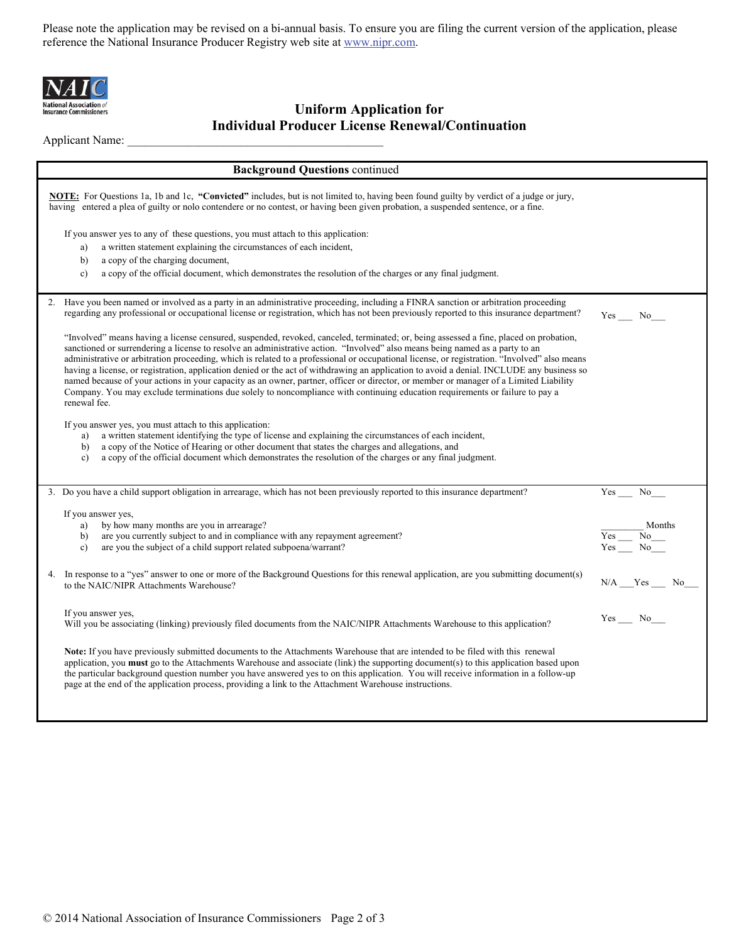Please note the application may be revised on a bi-annual basis. To ensure you are filing the current version of the application, please reference the National Insurance Producer Registry web site at www.nipr.com.



# **National Association of**<br>Insurance Commissioners<br> **1992 Uniform Application for Individual Producer License Renewal/Continuation**

Applicant Name:

| <b>Background Questions continued</b>                                                                                                                                                                                                                                                                                                                                                                                                                                                                                                                                                                                                                                                                                                                                                                                                                       |                                                      |  |  |  |  |  |
|-------------------------------------------------------------------------------------------------------------------------------------------------------------------------------------------------------------------------------------------------------------------------------------------------------------------------------------------------------------------------------------------------------------------------------------------------------------------------------------------------------------------------------------------------------------------------------------------------------------------------------------------------------------------------------------------------------------------------------------------------------------------------------------------------------------------------------------------------------------|------------------------------------------------------|--|--|--|--|--|
| NOTE: For Questions 1a, 1b and 1c, "Convicted" includes, but is not limited to, having been found guilty by verdict of a judge or jury,<br>having entered a plea of guilty or nolo contendere or no contest, or having been given probation, a suspended sentence, or a fine.                                                                                                                                                                                                                                                                                                                                                                                                                                                                                                                                                                               |                                                      |  |  |  |  |  |
| If you answer yes to any of these questions, you must attach to this application:<br>a written statement explaining the circumstances of each incident,<br>a)<br>a copy of the charging document,<br>b)                                                                                                                                                                                                                                                                                                                                                                                                                                                                                                                                                                                                                                                     |                                                      |  |  |  |  |  |
| a copy of the official document, which demonstrates the resolution of the charges or any final judgment.<br>c)                                                                                                                                                                                                                                                                                                                                                                                                                                                                                                                                                                                                                                                                                                                                              |                                                      |  |  |  |  |  |
| 2. Have you been named or involved as a party in an administrative proceeding, including a FINRA sanction or arbitration proceeding<br>regarding any professional or occupational license or registration, which has not been previously reported to this insurance department?                                                                                                                                                                                                                                                                                                                                                                                                                                                                                                                                                                             |                                                      |  |  |  |  |  |
| "Involved" means having a license censured, suspended, revoked, canceled, terminated; or, being assessed a fine, placed on probation,<br>sanctioned or surrendering a license to resolve an administrative action. "Involved" also means being named as a party to an<br>administrative or arbitration proceeding, which is related to a professional or occupational license, or registration. "Involved" also means<br>having a license, or registration, application denied or the act of withdrawing an application to avoid a denial. INCLUDE any business so<br>named because of your actions in your capacity as an owner, partner, officer or director, or member or manager of a Limited Liability<br>Company. You may exclude terminations due solely to noncompliance with continuing education requirements or failure to pay a<br>renewal fee. |                                                      |  |  |  |  |  |
| If you answer yes, you must attach to this application:<br>a written statement identifying the type of license and explaining the circumstances of each incident,<br>a)<br>a copy of the Notice of Hearing or other document that states the charges and allegations, and<br>b)<br>a copy of the official document which demonstrates the resolution of the charges or any final judgment.<br>$\mathbf{c}$                                                                                                                                                                                                                                                                                                                                                                                                                                                  |                                                      |  |  |  |  |  |
| 3. Do you have a child support obligation in arrearage, which has not been previously reported to this insurance department?                                                                                                                                                                                                                                                                                                                                                                                                                                                                                                                                                                                                                                                                                                                                | $Yes$ <sub>___</sub><br>$No$ <sub>___</sub>          |  |  |  |  |  |
| If you answer yes,<br>by how many months are you in arrearage?<br>a)<br>are you currently subject to and in compliance with any repayment agreement?<br>b)<br>are you the subject of a child support related subpoena/warrant?<br>$\mathbf{c}$ )                                                                                                                                                                                                                                                                                                                                                                                                                                                                                                                                                                                                            | Months<br>$\overline{\frac{Yes}{Yes}} \frac{No}{No}$ |  |  |  |  |  |
| 4. In response to a "yes" answer to one or more of the Background Questions for this renewal application, are you submitting document(s)<br>to the NAIC/NIPR Attachments Warehouse?                                                                                                                                                                                                                                                                                                                                                                                                                                                                                                                                                                                                                                                                         | $N/A$ $Yes$ $No$                                     |  |  |  |  |  |
| If you answer yes,<br>Will you be associating (linking) previously filed documents from the NAIC/NIPR Attachments Warehouse to this application?                                                                                                                                                                                                                                                                                                                                                                                                                                                                                                                                                                                                                                                                                                            | $Yes$ No______                                       |  |  |  |  |  |
| Note: If you have previously submitted documents to the Attachments Warehouse that are intended to be filed with this renewal<br>application, you must go to the Attachments Warehouse and associate (link) the supporting document(s) to this application based upon<br>the particular background question number you have answered yes to on this application. You will receive information in a follow-up<br>page at the end of the application process, providing a link to the Attachment Warehouse instructions.                                                                                                                                                                                                                                                                                                                                      |                                                      |  |  |  |  |  |
|                                                                                                                                                                                                                                                                                                                                                                                                                                                                                                                                                                                                                                                                                                                                                                                                                                                             |                                                      |  |  |  |  |  |